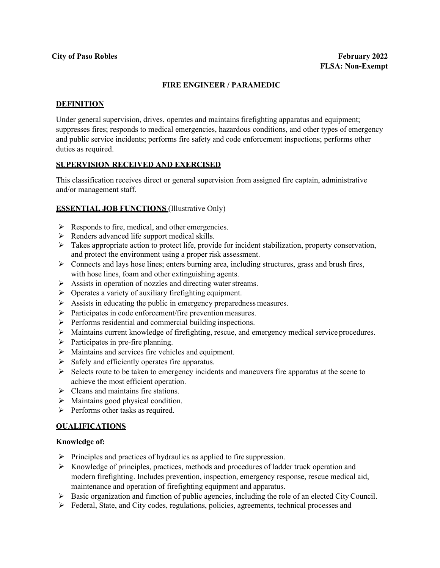# **FIRE ENGINEER / PARAMEDIC**

### **DEFINITION**

Under general supervision, drives, operates and maintains firefighting apparatus and equipment; suppresses fires; responds to medical emergencies, hazardous conditions, and other types of emergency and public service incidents; performs fire safety and code enforcement inspections; performs other duties as required.

#### **SUPERVISION RECEIVED AND EXERCISED**

This classification receives direct or general supervision from assigned fire captain, administrative and/or management staff.

#### **ESSENTIAL JOB FUNCTIONS** (Illustrative Only)

- Responds to fire, medical, and other emergencies.
- $\triangleright$  Renders advanced life support medical skills.
- $\triangleright$  Takes appropriate action to protect life, provide for incident stabilization, property conservation, and protect the environment using a proper risk assessment.
- $\triangleright$  Connects and lays hose lines; enters burning area, including structures, grass and brush fires, with hose lines, foam and other extinguishing agents.
- $\triangleright$  Assists in operation of nozzles and directing water streams.
- $\triangleright$  Operates a variety of auxiliary firefighting equipment.
- $\triangleright$  Assists in educating the public in emergency preparedness measures.
- $\triangleright$  Participates in code enforcement/fire prevention measures.
- $\triangleright$  Performs residential and commercial building inspections.
- $\triangleright$  Maintains current knowledge of firefighting, rescue, and emergency medical service procedures.
- $\triangleright$  Participates in pre-fire planning.
- $\triangleright$  Maintains and services fire vehicles and equipment.
- $\triangleright$  Safely and efficiently operates fire apparatus.
- $\triangleright$  Selects route to be taken to emergency incidents and maneuvers fire apparatus at the scene to achieve the most efficient operation.
- $\triangleright$  Cleans and maintains fire stations.
- $\triangleright$  Maintains good physical condition.
- $\triangleright$  Performs other tasks as required.

#### **QUALIFICATIONS**

#### **Knowledge of:**

- $\triangleright$  Principles and practices of hydraulics as applied to fire suppression.
- $\triangleright$  Knowledge of principles, practices, methods and procedures of ladder truck operation and modern firefighting. Includes prevention, inspection, emergency response, rescue medical aid, maintenance and operation of firefighting equipment and apparatus.
- $\triangleright$  Basic organization and function of public agencies, including the role of an elected City Council.
- $\triangleright$  Federal, State, and City codes, regulations, policies, agreements, technical processes and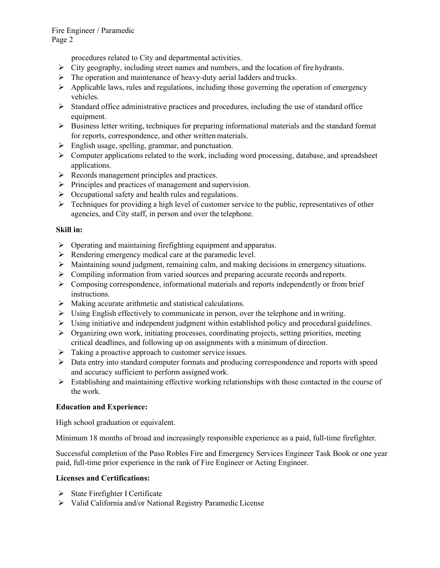procedures related to City and departmental activities.

- $\triangleright$  City geography, including street names and numbers, and the location of fire hydrants.
- $\triangleright$  The operation and maintenance of heavy-duty aerial ladders and trucks.
- $\triangleright$  Applicable laws, rules and regulations, including those governing the operation of emergency vehicles.
- $\triangleright$  Standard office administrative practices and procedures, including the use of standard office equipment.
- $\triangleright$  Business letter writing, techniques for preparing informational materials and the standard format for reports, correspondence, and other written materials.
- $\triangleright$  English usage, spelling, grammar, and punctuation.
- $\triangleright$  Computer applications related to the work, including word processing, database, and spreadsheet applications.
- $\triangleright$  Records management principles and practices.
- $\triangleright$  Principles and practices of management and supervision.
- $\triangleright$  Occupational safety and health rules and regulations.
- $\triangleright$  Techniques for providing a high level of customer service to the public, representatives of other agencies, and City staff, in person and over the telephone.

#### **Skill in:**

- Operating and maintaining firefighting equipment and apparatus.
- $\triangleright$  Rendering emergency medical care at the paramedic level.
- Maintaining sound judgment, remaining calm, and making decisions in emergency situations.
- $\triangleright$  Compiling information from varied sources and preparing accurate records and reports.
- Composing correspondence, informational materials and reports independently or from brief instructions.
- $\triangleright$  Making accurate arithmetic and statistical calculations.
- $\triangleright$  Using English effectively to communicate in person, over the telephone and in writing.
- $\triangleright$  Using initiative and independent judgment within established policy and procedural guidelines.
- $\triangleright$  Organizing own work, initiating processes, coordinating projects, setting priorities, meeting critical deadlines, and following up on assignments with a minimum of direction.
- $\triangleright$  Taking a proactive approach to customer service issues.
- $\triangleright$  Data entry into standard computer formats and producing correspondence and reports with speed and accuracy sufficient to perform assigned work.
- $\triangleright$  Establishing and maintaining effective working relationships with those contacted in the course of the work.

#### **Education and Experience:**

High school graduation or equivalent.

Minimum 18 months of broad and increasingly responsible experience as a paid, full-time firefighter.

Successful completion of the Paso Robles Fire and Emergency Services Engineer Task Book or one year paid, full-time prior experience in the rank of Fire Engineer or Acting Engineer.

### **Licenses and Certifications:**

- $\triangleright$  State Firefighter I Certificate
- Valid California and/or National Registry Paramedic License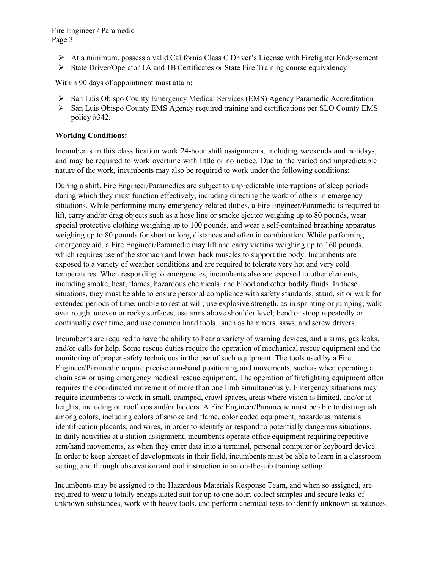- $\triangleright$  At a minimum. possess a valid California Class C Driver's License with Firefighter Endorsement
- $\triangleright$  State Driver/Operator 1A and 1B Certificates or State Fire Training course equivalency

Within 90 days of appointment must attain:

- $\triangleright$  San Luis Obispo County Emergency Medical Services (EMS) Agency Paramedic Accreditation
- $\triangleright$  San Luis Obispo County EMS Agency required training and certifications per SLO County EMS policy #342.

# **Working Conditions:**

Incumbents in this classification work 24-hour shift assignments, including weekends and holidays, and may be required to work overtime with little or no notice. Due to the varied and unpredictable nature of the work, incumbents may also be required to work under the following conditions:

During a shift, Fire Engineer/Paramedics are subject to unpredictable interruptions of sleep periods during which they must function effectively, including directing the work of others in emergency situations. While performing many emergency-related duties, a Fire Engineer/Paramedic is required to lift, carry and/or drag objects such as a hose line or smoke ejector weighing up to 80 pounds, wear special protective clothing weighing up to 100 pounds, and wear a self-contained breathing apparatus weighing up to 80 pounds for short or long distances and often in combination. While performing emergency aid, a Fire Engineer/Paramedic may lift and carry victims weighing up to 160 pounds, which requires use of the stomach and lower back muscles to support the body. Incumbents are exposed to a variety of weather conditions and are required to tolerate very hot and very cold temperatures. When responding to emergencies, incumbents also are exposed to other elements, including smoke, heat, flames, hazardous chemicals, and blood and other bodily fluids. In these situations, they must be able to ensure personal compliance with safety standards; stand, sit or walk for extended periods of time, unable to rest at will; use explosive strength, as in sprinting or jumping; walk over rough, uneven or rocky surfaces; use arms above shoulder level; bend or stoop repeatedly or continually over time; and use common hand tools, such as hammers, saws, and screw drivers.

Incumbents are required to have the ability to hear a variety of warning devices, and alarms, gas leaks, and/or calls for help. Some rescue duties require the operation of mechanical rescue equipment and the monitoring of proper safety techniques in the use of such equipment. The tools used by a Fire Engineer/Paramedic require precise arm-hand positioning and movements, such as when operating a chain saw or using emergency medical rescue equipment. The operation of firefighting equipment often requires the coordinated movement of more than one limb simultaneously. Emergency situations may require incumbents to work in small, cramped, crawl spaces, areas where vision is limited, and/or at heights, including on roof tops and/or ladders. A Fire Engineer/Paramedic must be able to distinguish among colors, including colors of smoke and flame, color coded equipment, hazardous materials identification placards, and wires, in order to identify or respond to potentially dangerous situations. In daily activities at a station assignment, incumbents operate office equipment requiring repetitive arm/hand movements, as when they enter data into a terminal, personal computer or keyboard device. In order to keep abreast of developments in their field, incumbents must be able to learn in a classroom setting, and through observation and oral instruction in an on-the-job training setting.

Incumbents may be assigned to the Hazardous Materials Response Team, and when so assigned, are required to wear a totally encapsulated suit for up to one hour, collect samples and secure leaks of unknown substances, work with heavy tools, and perform chemical tests to identify unknown substances.